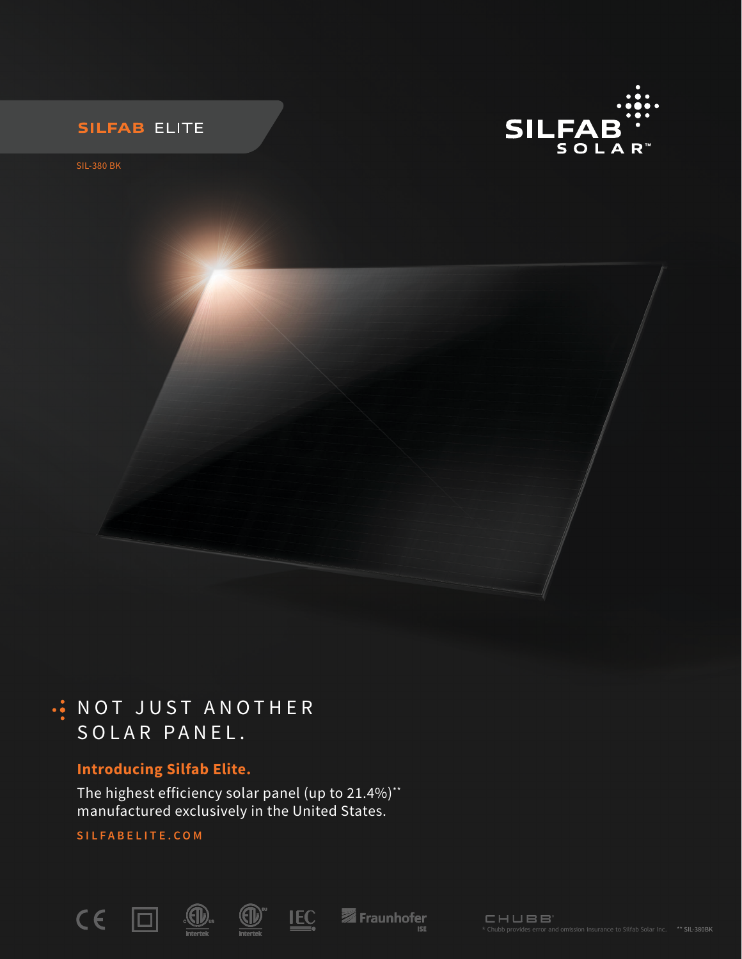



SIL-380 BK

# . NOT JUST ANOTHER SOLAR PANEL.

## **Introducing Silfab Elite.**

The highest efficiency solar panel (up to 21.4%)\*\* manufactured exclusively in the United States.

## **SILFABELITE.COM**

10.